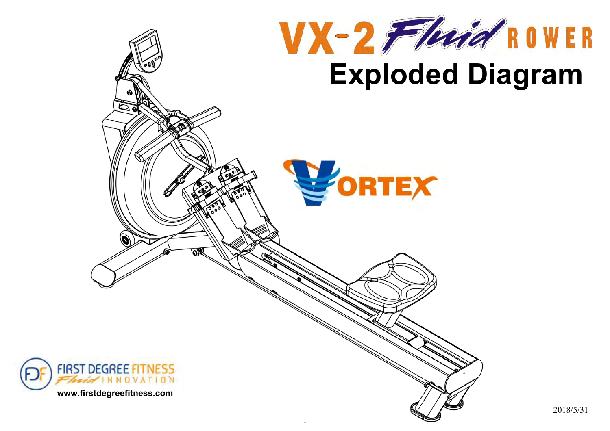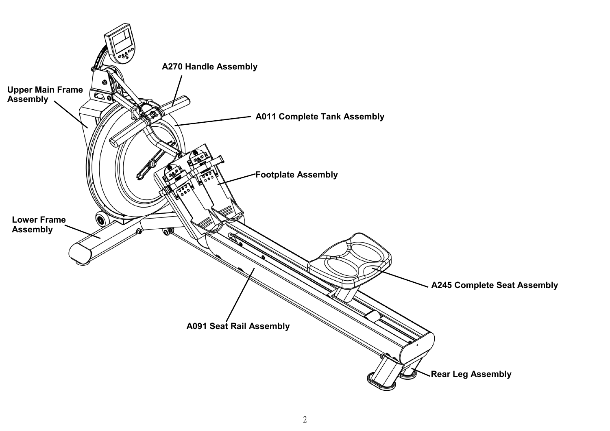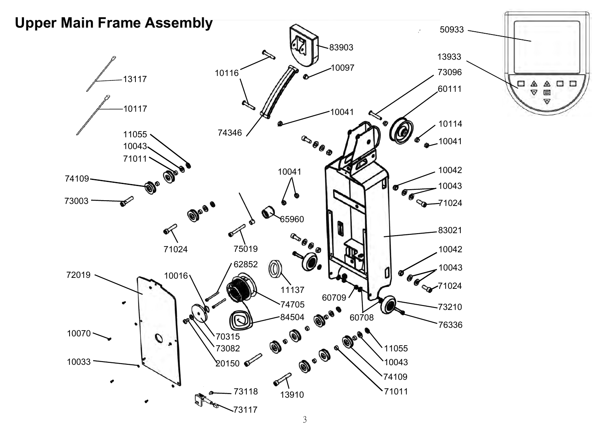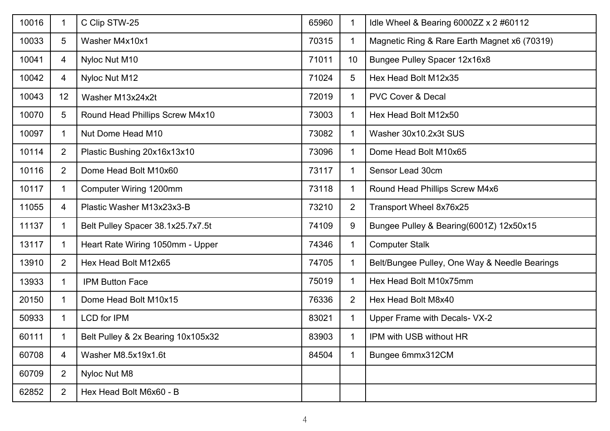| 10016 | 1               | C Clip STW-25                      | 65960 | 1              | Idle Wheel & Bearing 6000ZZ x 2 #60112        |
|-------|-----------------|------------------------------------|-------|----------------|-----------------------------------------------|
| 10033 | $5\overline{)}$ | Washer M4x10x1                     | 70315 | 1              | Magnetic Ring & Rare Earth Magnet x6 (70319)  |
| 10041 | 4               | Nyloc Nut M10                      | 71011 | 10             | <b>Bungee Pulley Spacer 12x16x8</b>           |
| 10042 | 4               | Nyloc Nut M12                      | 71024 | 5              | Hex Head Bolt M12x35                          |
| 10043 | 12              | Washer M13x24x2t                   | 72019 | $\mathbf 1$    | <b>PVC Cover &amp; Decal</b>                  |
| 10070 | 5               | Round Head Phillips Screw M4x10    | 73003 |                | Hex Head Bolt M12x50                          |
| 10097 | 1               | Nut Dome Head M10                  | 73082 |                | Washer 30x10.2x3t SUS                         |
| 10114 | $\overline{2}$  | Plastic Bushing 20x16x13x10        | 73096 |                | Dome Head Bolt M10x65                         |
| 10116 | $\overline{2}$  | Dome Head Bolt M10x60              | 73117 | 1              | Sensor Lead 30cm                              |
| 10117 | 1               | Computer Wiring 1200mm             | 73118 |                | Round Head Phillips Screw M4x6                |
| 11055 | $\overline{4}$  | Plastic Washer M13x23x3-B          | 73210 | $\overline{2}$ | Transport Wheel 8x76x25                       |
| 11137 | 1               | Belt Pulley Spacer 38.1x25.7x7.5t  | 74109 | 9              | Bungee Pulley & Bearing(6001Z) 12x50x15       |
| 13117 | 1               | Heart Rate Wiring 1050mm - Upper   | 74346 | $\mathbf 1$    | <b>Computer Stalk</b>                         |
| 13910 | $\overline{2}$  | Hex Head Bolt M12x65               | 74705 |                | Belt/Bungee Pulley, One Way & Needle Bearings |
| 13933 | 1               | <b>IPM Button Face</b>             | 75019 |                | Hex Head Bolt M10x75mm                        |
| 20150 | 1               | Dome Head Bolt M10x15              | 76336 | $\overline{2}$ | Hex Head Bolt M8x40                           |
| 50933 | 1               | <b>LCD</b> for IPM                 | 83021 | $\mathbf 1$    | Upper Frame with Decals- VX-2                 |
| 60111 | 1               | Belt Pulley & 2x Bearing 10x105x32 | 83903 |                | IPM with USB without HR                       |
| 60708 | 4               | Washer M8.5x19x1.6t                | 84504 |                | Bungee 6mmx312CM                              |
| 60709 | $\overline{2}$  | Nyloc Nut M8                       |       |                |                                               |
| 62852 | 2               | Hex Head Bolt M6x60 - B            |       |                |                                               |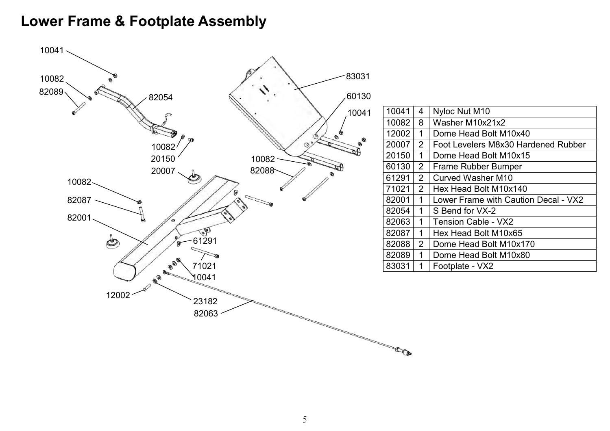# **Lower Frame & Footplate Assembly**



| 10041 | 4              | Nyloc Nut M10                        |
|-------|----------------|--------------------------------------|
| 10082 | 8              | Washer M10x21x2                      |
| 12002 | 1              | Dome Head Bolt M10x40                |
| 20007 | $\overline{2}$ | Foot Levelers M8x30 Hardened Rubber  |
| 20150 | 1              | Dome Head Bolt M10x15                |
| 60130 | 2              | Frame Rubber Bumper                  |
| 61291 | $\overline{2}$ | <b>Curved Washer M10</b>             |
| 71021 | $\overline{2}$ | Hex Head Bolt M10x140                |
| 82001 | 1              | Lower Frame with Caution Decal - VX2 |
| 82054 | 1              | S Bend for VX-2                      |
| 82063 | 1              | <b>Tension Cable - VX2</b>           |
| 82087 | 1              | Hex Head Bolt M10x65                 |
| 82088 | $\overline{2}$ | Dome Head Bolt M10x170               |
| 82089 | 1              | Dome Head Bolt M10x80                |
| 83031 | 1              | Footplate - VX2                      |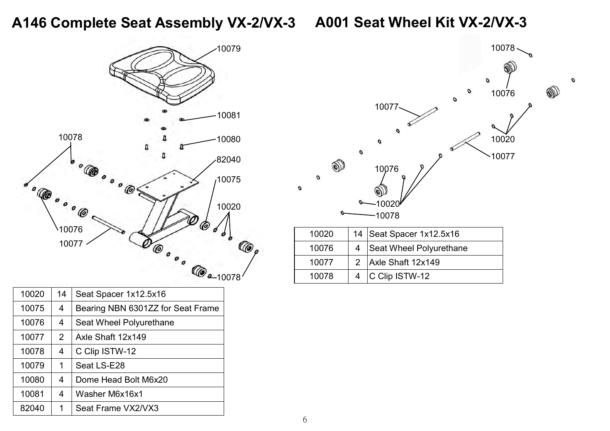# **A146 Complete Seat Assembly VX-2/VX-3 A001 Seat Wheel Kit VX-2/VX-3**

O



| 10020 | 14 | Seat Spacer 1x12.5x16             |
|-------|----|-----------------------------------|
| 10075 | 4  | Bearing NBN 6301ZZ for Seat Frame |
| 10076 | 4  | Seat Wheel Polyurethane           |
| 10077 | 2  | Axle Shaft 12x149                 |
| 10078 | 4  | C Clip ISTW-12                    |
| 10079 | 1  | Seat LS-E28                       |
| 10080 | 4  | Dome Head Bolt M6x20              |
| 10081 | 4  | Washer M6x16x1                    |
| 82040 | 1  | Seat Frame VX2/VX3                |

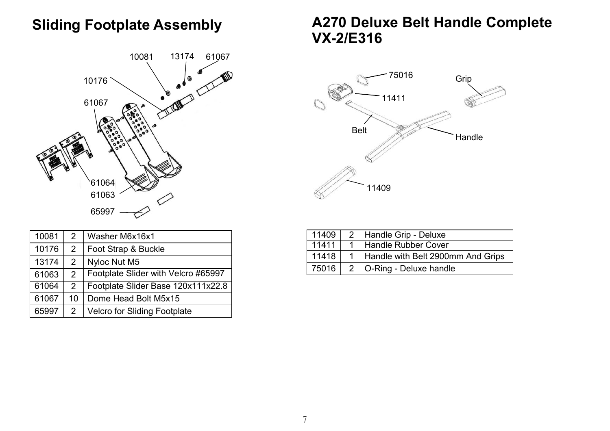## **Sliding Footplate Assembly**



| 10081 | $\overline{2}$ | Washer M6x16x1                      |
|-------|----------------|-------------------------------------|
| 10176 | 2              | Foot Strap & Buckle                 |
| 13174 | $\overline{2}$ | Nyloc Nut M5                        |
| 61063 | 2              | Footplate Slider with Velcro #65997 |
| 61064 | 2              | Footplate Slider Base 120x111x22.8  |
| 61067 | 10             | Dome Head Bolt M5x15                |
| 65997 | 2              | <b>Velcro for Sliding Footplate</b> |

## **A270 Deluxe Belt Handle Complete VX-2/E316**



| 11409 |      | 2 Handle Grip - Deluxe            |
|-------|------|-----------------------------------|
| 11411 |      | Handle Rubber Cover               |
| 11418 | $-1$ | Handle with Belt 2900mm And Grips |
| 75016 |      | 2   O-Ring - Deluxe handle        |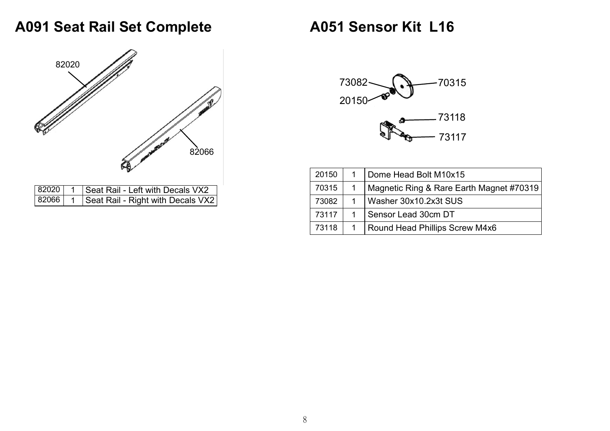## **A091 Seat Rail Set Complete**



# **A051 Sensor Kit L16**



| 20150 | 1 | Dome Head Bolt M10x15                    |
|-------|---|------------------------------------------|
| 70315 |   | Magnetic Ring & Rare Earth Magnet #70319 |
| 73082 | 1 | Washer 30x10.2x3t SUS                    |
| 73117 |   | Sensor Lead 30cm DT                      |
| 73118 |   | Round Head Phillips Screw M4x6           |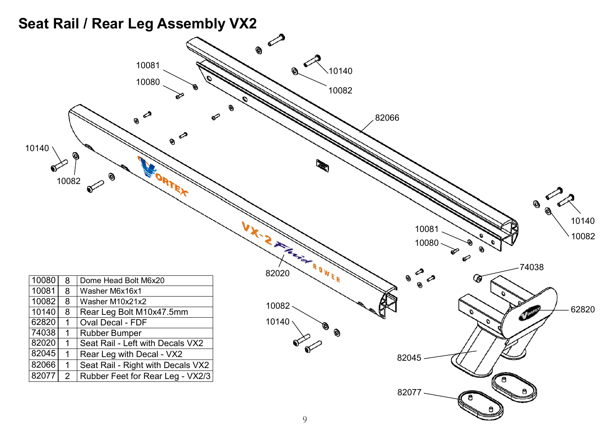### **Seat Rail / Rear Leg Assembly VX2**

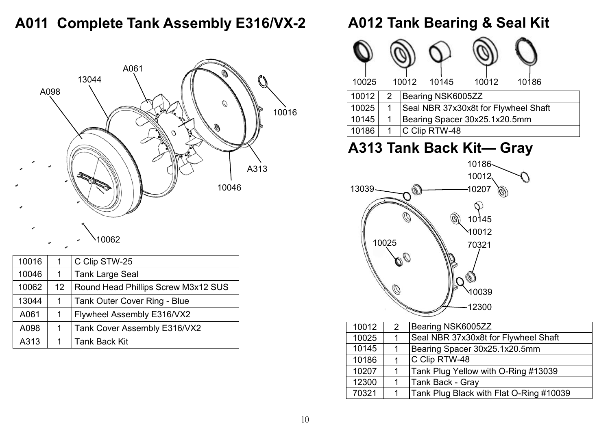## **A011 Complete Tank Assembly E316/VX-2**



| 10016 | 1               | C Clip STW-25                       |
|-------|-----------------|-------------------------------------|
| 10046 | 1               | <b>Tank Large Seal</b>              |
| 10062 | 12 <sup>°</sup> | Round Head Phillips Screw M3x12 SUS |
| 13044 | 1               | <b>Tank Outer Cover Ring - Blue</b> |
| A061  | 1               | Flywheel Assembly E316/VX2          |
| A098  | 1               | Tank Cover Assembly E316/VX2        |
| A313  | 1               | <b>Tank Back Kit</b>                |

## **A012 Tank Bearing & Seal Kit**



## **A313 Tank Back Kit— Gray**



| 10012 | $\mathcal{P}$ | Bearing NSK6005ZZ                       |
|-------|---------------|-----------------------------------------|
| 10025 |               | Seal NBR 37x30x8t for Flywheel Shaft    |
| 10145 |               | Bearing Spacer 30x25.1x20.5mm           |
| 10186 |               | C Clip RTW-48                           |
| 10207 |               | Tank Plug Yellow with O-Ring #13039     |
| 12300 |               | Tank Back - Gray                        |
| 70321 |               | Tank Plug Black with Flat O-Ring #10039 |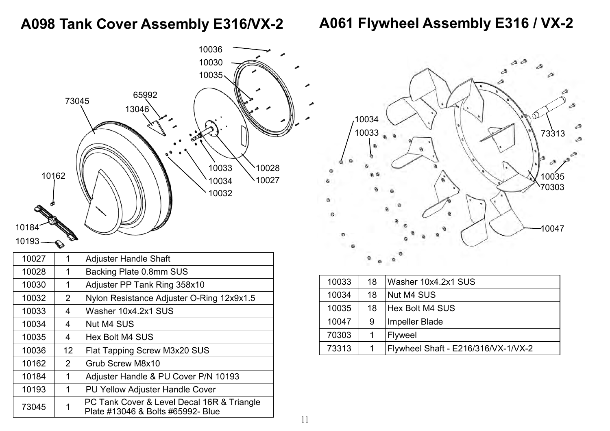## **A098 Tank Cover Assembly E316/VX-2**

## **A061 Flywheel Assembly E316 / VX-2**





|  | 10033 | 18 | Washer 10x4.2x1 SUS                 |
|--|-------|----|-------------------------------------|
|  | 10034 | 18 | Nut M4 SUS                          |
|  | 10035 | 18 | Hex Bolt M4 SUS                     |
|  | 10047 | 9  | <b>Impeller Blade</b>               |
|  | 70303 |    | <b>Flyweel</b>                      |
|  | 73313 | 1  | Flywheel Shaft - E216/316/VX-1/VX-2 |
|  |       |    |                                     |

10193

| 10027 |                | <b>Adjuster Handle Shaft</b>                                                    |
|-------|----------------|---------------------------------------------------------------------------------|
| 10028 | 1              | Backing Plate 0.8mm SUS                                                         |
| 10030 | 1              | Adjuster PP Tank Ring 358x10                                                    |
| 10032 | $\overline{2}$ | Nylon Resistance Adjuster O-Ring 12x9x1.5                                       |
| 10033 | 4              | Washer 10x4.2x1 SUS                                                             |
| 10034 | 4              | <b>Nut M4 SUS</b>                                                               |
| 10035 | 4              | Hex Bolt M4 SUS                                                                 |
| 10036 | 12             | Flat Tapping Screw M3x20 SUS                                                    |
| 10162 | $\overline{2}$ | Grub Screw M8x10                                                                |
| 10184 | 1              | Adjuster Handle & PU Cover P/N 10193                                            |
| 10193 | 1              | <b>PU Yellow Adjuster Handle Cover</b>                                          |
| 73045 |                | PC Tank Cover & Level Decal 16R & Triangle<br>Plate #13046 & Bolts #65992- Blue |